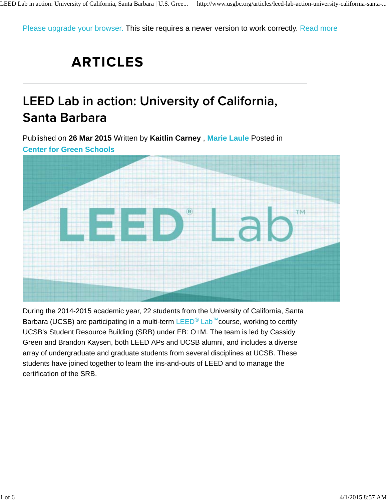Please upgrade your browser. This site requires a newer version to work correctly. Read more

## **ARTICLES**

## LEED Lab in action: University of California, Santa Barbara

Published on **26 Mar 2015** Written by **Kaitlin Carney** , **Marie Laule** Posted in



During the 2014-2015 academic year, 22 students from the University of California, Santa Barbara (UCSB) are participating in a multi-term LEED<sup>®</sup> Lab™course, working to certify UCSB's Student Resource Building (SRB) under EB: O+M. The team is led by Cassidy Green and Brandon Kaysen, both LEED APs and UCSB alumni, and includes a diverse array of undergraduate and graduate students from several disciplines at UCSB. These students have joined together to learn the ins-and-outs of LEED and to manage the certification of the SRB.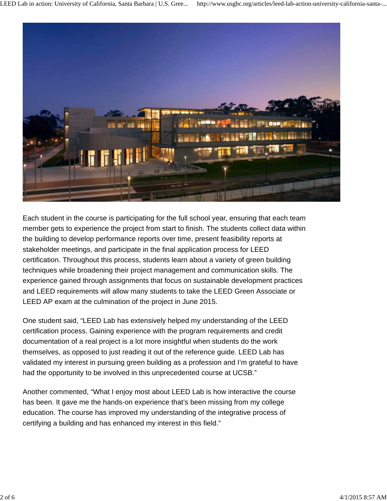

Each student in the course is participating for the full school year, ensuring that each team member gets to experience the project from start to finish. The students collect data within the building to develop performance reports over time, present feasibility reports at stakeholder meetings, and participate in the final application process for LEED certification. Throughout this process, students learn about a variety of green building techniques while broadening their project management and communication skills. The experience gained through assignments that focus on sustainable development practices and LEED requirements will allow many students to take the LEED Green Associate or LEED AP exam at the culmination of the project in June 2015.

One student said, "LEED Lab has extensively helped my understanding of the LEED certification process. Gaining experience with the program requirements and credit documentation of a real project is a lot more insightful when students do the work themselves, as opposed to just reading it out of the reference guide. LEED Lab has validated my interest in pursuing green building as a profession and I'm grateful to have had the opportunity to be involved in this unprecedented course at UCSB."

Another commented, "What I enjoy most about LEED Lab is how interactive the course has been. It gave me the hands-on experience that's been missing from my college education. The course has improved my understanding of the integrative process of certifying a building and has enhanced my interest in this field."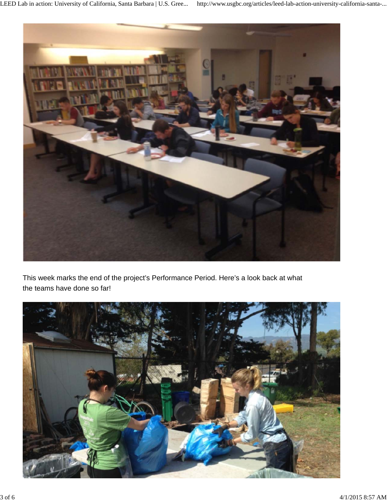

This week marks the end of the project's Performance Period. Here's a look back at what the teams have done so far!

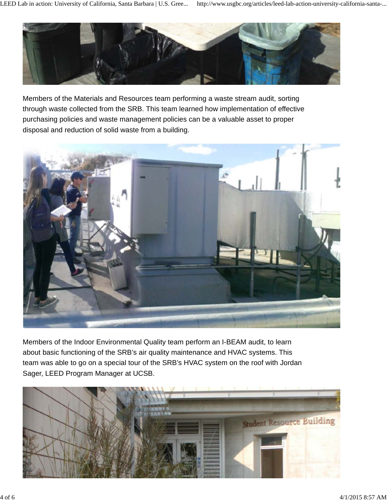

Members of the Materials and Resources team performing a waste stream audit, sorting through waste collected from the SRB. This team learned how implementation of effective purchasing policies and waste management policies can be a valuable asset to proper disposal and reduction of solid waste from a building.



Members of the Indoor Environmental Quality team perform an I-BEAM audit, to learn about basic functioning of the SRB's air quality maintenance and HVAC systems. This team was able to go on a special tour of the SRB's HVAC system on the roof with Jordan Sager, LEED Program Manager at UCSB.

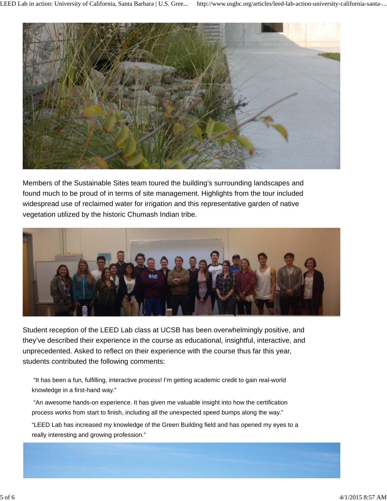

Members of the Sustainable Sites team toured the building's surrounding landscapes and found much to be proud of in terms of site management. Highlights from the tour included widespread use of reclaimed water for irrigation and this representative garden of native vegetation utilized by the historic Chumash Indian tribe.



Student reception of the LEED Lab class at UCSB has been overwhelmingly positive, and they've described their experience in the course as educational, insightful, interactive, and unprecedented. Asked to reflect on their experience with the course thus far this year, students contributed the following comments:

 "It has been a fun, fulfilling, interactive process! I'm getting academic credit to gain real-world knowledge in a first-hand way."

 "An awesome hands-on experience. It has given me valuable insight into how the certification process works from start to finish, including all the unexpected speed bumps along the way."

"LEED Lab has increased my knowledge of the Green Building field and has opened my eyes to a really interesting and growing profession."